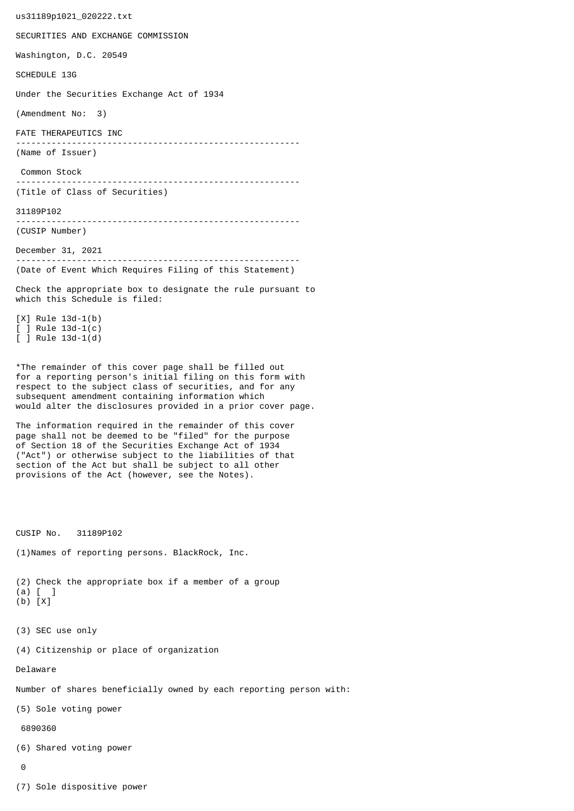us31189p1021\_020222.txt SECURITIES AND EXCHANGE COMMISSION Washington, D.C. 20549 SCHEDULE 13G Under the Securities Exchange Act of 1934 (Amendment No: 3) FATE THERAPEUTICS INC -------------------------------------------------------- (Name of Issuer) Common Stock -------------------------------------------------------- (Title of Class of Securities) 31189P102 -------------------------------------------------------- (CUSIP Number) December 31, 2021 -------------------------------------------------------- (Date of Event Which Requires Filing of this Statement) Check the appropriate box to designate the rule pursuant to which this Schedule is filed: [X] Rule 13d-1(b) [ ] Rule 13d-1(c) [ ] Rule 13d-1(d) \*The remainder of this cover page shall be filled out for a reporting person's initial filing on this form with respect to the subject class of securities, and for any subsequent amendment containing information which would alter the disclosures provided in a prior cover page. The information required in the remainder of this cover page shall not be deemed to be "filed" for the purpose of Section 18 of the Securities Exchange Act of 1934 ("Act") or otherwise subject to the liabilities of that section of the Act but shall be subject to all other provisions of the Act (however, see the Notes). CUSIP No. 31189P102 (1)Names of reporting persons. BlackRock, Inc. (2) Check the appropriate box if a member of a group (a) [ ] (b) [X] (3) SEC use only (4) Citizenship or place of organization Delaware Number of shares beneficially owned by each reporting person with: (5) Sole voting power 6890360 (6) Shared voting power  $\Omega$ 

(7) Sole dispositive power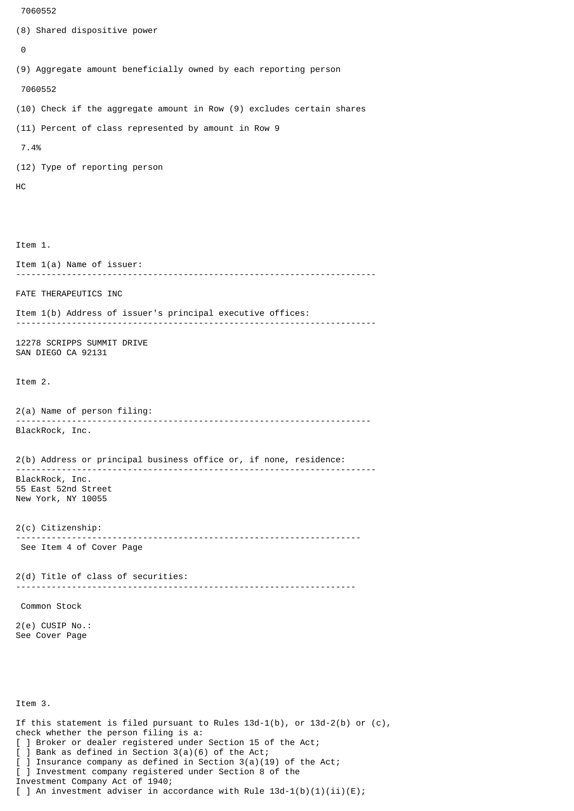```
 7060552
```

```
(8) Shared dispositive power
 \boldsymbol{\Theta}(9) Aggregate amount beneficially owned by each reporting person
  7060552
(10) Check if the aggregate amount in Row (9) excludes certain shares
(11) Percent of class represented by amount in Row 9
  7.4%
(12) Type of reporting person
HC
Item 1.
Item 1(a) Name of issuer:
           -----------------------------------------------------------------------
FATE THERAPEUTICS INC
Item 1(b) Address of issuer's principal executive offices:
-----------------------------------------------------------------------
12278 SCRIPPS SUMMIT DRIVE
SAN DIEGO CA 92131
Item 2.
2(a) Name of person filing:
               ----------------------------------------------------------------------
BlackRock, Inc.
2(b) Address or principal business office or, if none, residence:
 -----------------------------------------------------------------------
BlackRock, Inc.
55 East 52nd Street
New York, NY 10055
2(c) Citizenship:
                            --------------------------------------------------------------------
 See Item 4 of Cover Page
2(d) Title of class of securities:
                                       -------------------------------------------------------------------
 Common Stock
2(e) CUSIP No.:
See Cover Page
Item 3.
If this statement is filed pursuant to Rules 13d-1(b), or 13d-2(b) or (c),
check whether the person filing is a:
[ ] Broker or dealer registered under Section 15 of the Act;
[ ] Bank as defined in Section 3(a)(6) of the Act;
  ] Insurance company as defined in Section 3(a)(19) of the Act;
```
[ ] Investment company registered under Section 8 of the Investment Company Act of 1940; [ ] An investment adviser in accordance with Rule  $13d-1(b)(1)(ii)(E)$ ;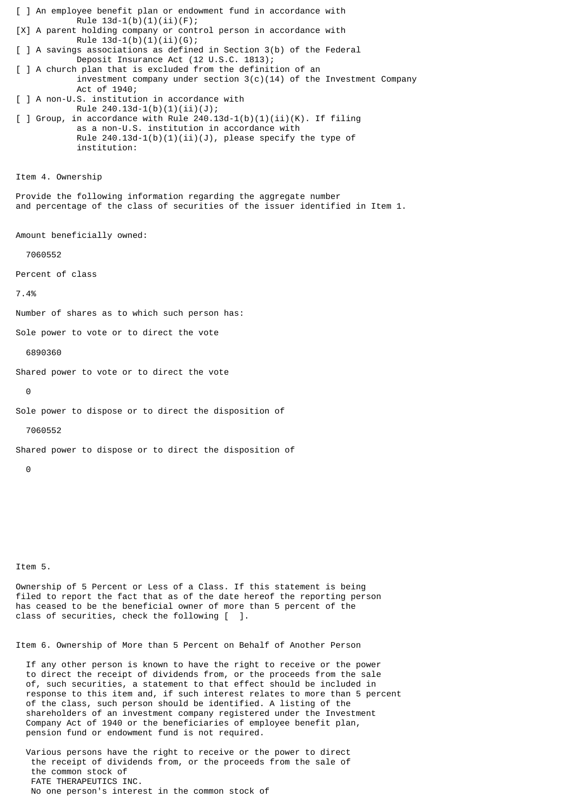[ ] An employee benefit plan or endowment fund in accordance with Rule  $13d-1(b)(1)(ii)(F);$ [X] A parent holding company or control person in accordance with Rule  $13d-1(b)(1)(ii)(G);$ [ ] A savings associations as defined in Section 3(b) of the Federal Deposit Insurance Act (12 U.S.C. 1813); [ ] A church plan that is excluded from the definition of an investment company under section  $3(c)(14)$  of the Investment Company Act of 1940; [ ] A non-U.S. institution in accordance with Rule  $240.13d-1(b)(1)(ii)(J);$  $\lceil$  ] Group, in accordance with Rule 240.13d-1(b)(1)(ii)(K). If filing as a non-U.S. institution in accordance with Rule  $240.13d-1(b)(1)(ii)(J)$ , please specify the type of institution: Item 4. Ownership Provide the following information regarding the aggregate number and percentage of the class of securities of the issuer identified in Item 1. Amount beneficially owned: 7060552 Percent of class 7.4% Number of shares as to which such person has: Sole power to vote or to direct the vote 6890360 Shared power to vote or to direct the vote  $\Theta$ Sole power to dispose or to direct the disposition of 7060552 Shared power to dispose or to direct the disposition of  $\Omega$ 

Item 5.

Ownership of 5 Percent or Less of a Class. If this statement is being filed to report the fact that as of the date hereof the reporting person has ceased to be the beneficial owner of more than 5 percent of the class of securities, check the following [ ].

Item 6. Ownership of More than 5 Percent on Behalf of Another Person

 If any other person is known to have the right to receive or the power to direct the receipt of dividends from, or the proceeds from the sale of, such securities, a statement to that effect should be included in response to this item and, if such interest relates to more than 5 percent of the class, such person should be identified. A listing of the shareholders of an investment company registered under the Investment Company Act of 1940 or the beneficiaries of employee benefit plan, pension fund or endowment fund is not required.

 Various persons have the right to receive or the power to direct the receipt of dividends from, or the proceeds from the sale of the common stock of FATE THERAPEUTICS INC. No one person's interest in the common stock of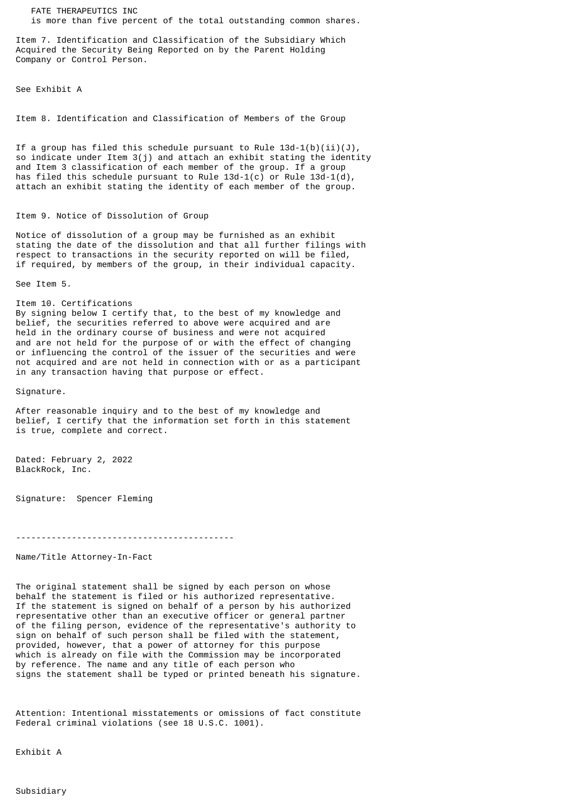FATE THERAPEUTICS INC is more than five percent of the total outstanding common shares.

Item 7. Identification and Classification of the Subsidiary Which Acquired the Security Being Reported on by the Parent Holding Company or Control Person.

See Exhibit A

Item 8. Identification and Classification of Members of the Group

If a group has filed this schedule pursuant to Rule  $13d-1(b)(ii)(J)$ , so indicate under Item 3(j) and attach an exhibit stating the identity and Item 3 classification of each member of the group. If a group has filed this schedule pursuant to Rule  $13d-1(c)$  or Rule  $13d-1(d)$ , attach an exhibit stating the identity of each member of the group.

## Item 9. Notice of Dissolution of Group

Notice of dissolution of a group may be furnished as an exhibit stating the date of the dissolution and that all further filings with respect to transactions in the security reported on will be filed, if required, by members of the group, in their individual capacity.

See Item 5.

Item 10. Certifications By signing below I certify that, to the best of my knowledge and belief, the securities referred to above were acquired and are held in the ordinary course of business and were not acquired and are not held for the purpose of or with the effect of changing or influencing the control of the issuer of the securities and were not acquired and are not held in connection with or as a participant

in any transaction having that purpose or effect.

Signature.

After reasonable inquiry and to the best of my knowledge and belief, I certify that the information set forth in this statement is true, complete and correct.

Dated: February 2, 2022 BlackRock, Inc.

Signature: Spencer Fleming

-------------------------------------------

Name/Title Attorney-In-Fact

The original statement shall be signed by each person on whose behalf the statement is filed or his authorized representative. If the statement is signed on behalf of a person by his authorized representative other than an executive officer or general partner of the filing person, evidence of the representative's authority to sign on behalf of such person shall be filed with the statement, provided, however, that a power of attorney for this purpose which is already on file with the Commission may be incorporated by reference. The name and any title of each person who signs the statement shall be typed or printed beneath his signature.

Attention: Intentional misstatements or omissions of fact constitute Federal criminal violations (see 18 U.S.C. 1001).

Exhibit A